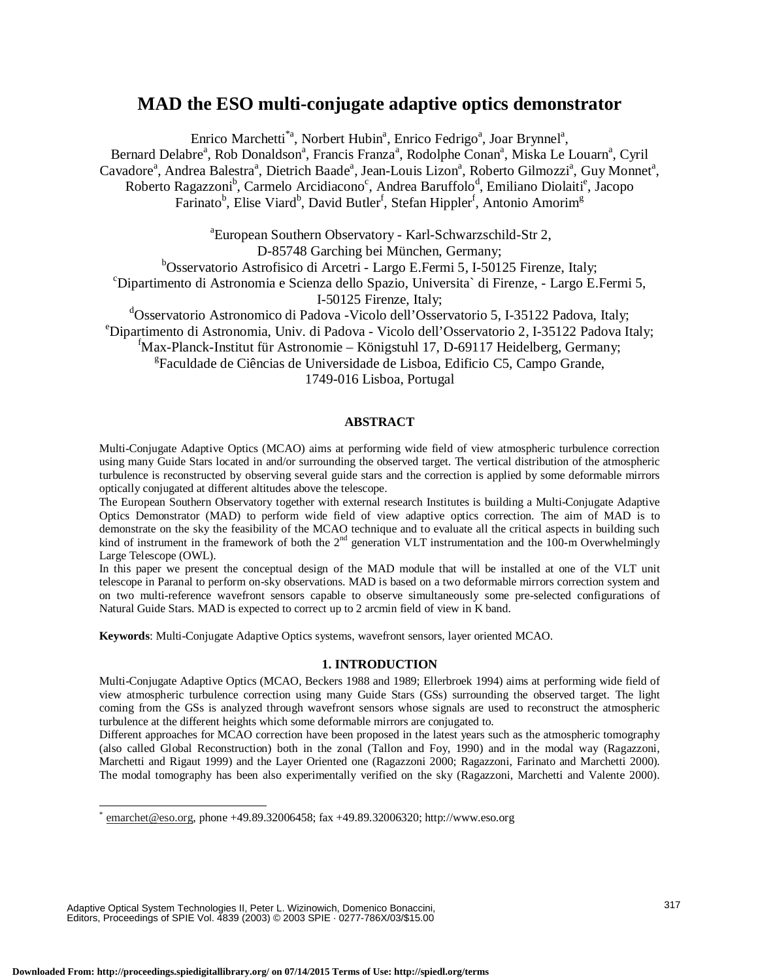# **MAD the ESO multi-conjugate adaptive optics demonstrator**

Enrico Marchetti<sup>\*a</sup>, Norbert Hubin<sup>a</sup>, Enrico Fedrigo<sup>a</sup>, Joar Brynnel<sup>a</sup>, Bernard Delabre<sup>a</sup>, Rob Donaldson<sup>a</sup>, Francis Franza<sup>a</sup>, Rodolphe Conan<sup>a</sup>, Miska Le Louarn<sup>a</sup>, Cyril Cavadore<sup>a</sup>, Andrea Balestra<sup>a</sup>, Dietrich Baade<sup>a</sup>, Jean-Louis Lizon<sup>a</sup>, Roberto Gilmozzi<sup>a</sup>, Guy Monnet<sup>a</sup>, Roberto Ragazzoni<sup>b</sup>, Carmelo Arcidiacono<sup>c</sup>, Andrea Baruffolo<sup>d</sup>, Emiliano Diolaiti<sup>e</sup>, Jacopo Farinato<sup>b</sup>, Elise Viard<sup>b</sup>, David Butler<sup>f</sup>, Stefan Hippler<sup>f</sup>, Antonio Amorim<sup>g</sup>

> <sup>a</sup>European Southern Observatory - Karl-Schwarzschild-Str 2, D-85748 Garching bei München, Germany;

<sup>b</sup>Osservatorio Astrofisico di Arcetri - Largo E.Fermi 5, I-50125 Firenze, Italy; c Dipartimento di Astronomia e Scienza dello Spazio, Universita` di Firenze, - Largo E.Fermi 5, I-50125 Firenze, Italy;

d Osservatorio Astronomico di Padova -Vicolo dell'Osservatorio 5, I-35122 Padova, Italy; <sup>e</sup> Dipartimento di Astronomia, Univ. di Padova - Vicolo dell'Osservatorio 2, I-35122 Padova Italy;<br><sup>f</sup>Mex. Planek Institut fiin Astronomia, Könisstubl 17, D-60117 Haidelberg Cormany.  ${}^{\text{f}}$ Max-Planck-Institut für Astronomie – Königstuhl 17, D-69117 Heidelberg, Germany; Faculdade de Ciências de Universidade de Lisboa, Edificio C5, Campo Grande,

1749-016 Lisboa, Portugal

## **ABSTRACT**

Multi-Conjugate Adaptive Optics (MCAO) aims at performing wide field of view atmospheric turbulence correction using many Guide Stars located in and/or surrounding the observed target. The vertical distribution of the atmospheric turbulence is reconstructed by observing several guide stars and the correction is applied by some deformable mirrors optically conjugated at different altitudes above the telescope.

The European Southern Observatory together with external research Institutes is building a Multi-Conjugate Adaptive Optics Demonstrator (MAD) to perform wide field of view adaptive optics correction. The aim of MAD is to demonstrate on the sky the feasibility of the MCAO technique and to evaluate all the critical aspects in building such kind of instrument in the framework of both the  $2<sup>nd</sup>$  generation VLT instrumentation and the 100-m Overwhelmingly Large Telescope (OWL).

In this paper we present the conceptual design of the MAD module that will be installed at one of the VLT unit telescope in Paranal to perform on-sky observations. MAD is based on a two deformable mirrors correction system and on two multi-reference wavefront sensors capable to observe simultaneously some pre-selected configurations of Natural Guide Stars. MAD is expected to correct up to 2 arcmin field of view in K band.

**Keywords**: Multi-Conjugate Adaptive Optics systems, wavefront sensors, layer oriented MCAO.

## **1. INTRODUCTION**

Multi-Conjugate Adaptive Optics (MCAO, Beckers 1988 and 1989; Ellerbroek 1994) aims at performing wide field of view atmospheric turbulence correction using many Guide Stars (GSs) surrounding the observed target. The light coming from the GSs is analyzed through wavefront sensors whose signals are used to reconstruct the atmospheric turbulence at the different heights which some deformable mirrors are conjugated to.

Different approaches for MCAO correction have been proposed in the latest years such as the atmospheric tomography (also called Global Reconstruction) both in the zonal (Tallon and Foy, 1990) and in the modal way (Ragazzoni, Marchetti and Rigaut 1999) and the Layer Oriented one (Ragazzoni 2000; Ragazzoni, Farinato and Marchetti 2000). The modal tomography has been also experimentally verified on the sky (Ragazzoni, Marchetti and Valente 2000).

Adaptive Optical System Technologies II, Peter L. Wizinowich, Domenico Bonaccini, Editors, Proceedings of SPIE Vol. 4839 (2003) © 2003 SPIE · 0277-786X/03/\$15.00

emarchet@eso.org, phone +49.89.32006458; fax +49.89.32006320; http://www.eso.org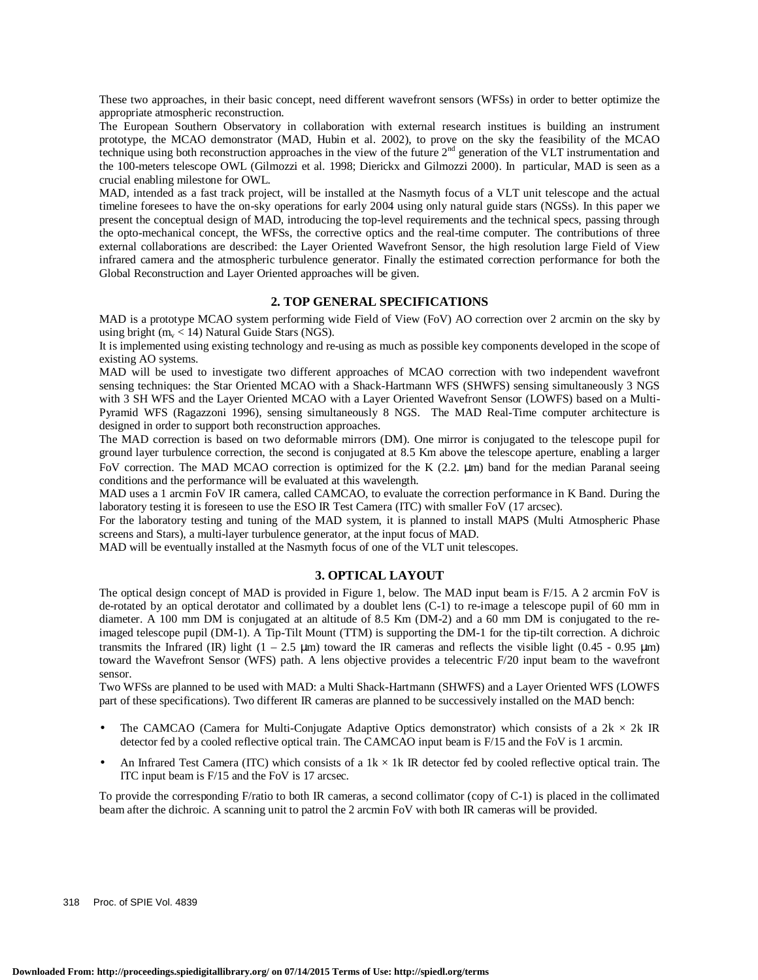These two approaches, in their basic concept, need different wavefront sensors (WFSs) in order to better optimize the appropriate atmospheric reconstruction.

The European Southern Observatory in collaboration with external research institues is building an instrument prototype, the MCAO demonstrator (MAD, Hubin et al. 2002), to prove on the sky the feasibility of the MCAO technique using both reconstruction approaches in the view of the future 2nd generation of the VLT instrumentation and the 100-meters telescope OWL (Gilmozzi et al. 1998; Dierickx and Gilmozzi 2000). In particular, MAD is seen as a crucial enabling milestone for OWL.

MAD, intended as a fast track project, will be installed at the Nasmyth focus of a VLT unit telescope and the actual timeline foresees to have the on-sky operations for early 2004 using only natural guide stars (NGSs). In this paper we present the conceptual design of MAD, introducing the top-level requirements and the technical specs, passing through the opto-mechanical concept, the WFSs, the corrective optics and the real-time computer. The contributions of three external collaborations are described: the Layer Oriented Wavefront Sensor, the high resolution large Field of View infrared camera and the atmospheric turbulence generator. Finally the estimated correction performance for both the Global Reconstruction and Layer Oriented approaches will be given.

# **2. TOP GENERAL SPECIFICATIONS**

MAD is a prototype MCAO system performing wide Field of View (FoV) AO correction over 2 arcmin on the sky by using bright ( $m_v < 14$ ) Natural Guide Stars (NGS).

It is implemented using existing technology and re-using as much as possible key components developed in the scope of existing AO systems.

MAD will be used to investigate two different approaches of MCAO correction with two independent wavefront sensing techniques: the Star Oriented MCAO with a Shack-Hartmann WFS (SHWFS) sensing simultaneously 3 NGS with 3 SH WFS and the Layer Oriented MCAO with a Layer Oriented Wavefront Sensor (LOWFS) based on a Multi-Pyramid WFS (Ragazzoni 1996), sensing simultaneously 8 NGS. The MAD Real-Time computer architecture is designed in order to support both reconstruction approaches.

The MAD correction is based on two deformable mirrors (DM). One mirror is conjugated to the telescope pupil for ground layer turbulence correction, the second is conjugated at 8.5 Km above the telescope aperture, enabling a larger FoV correction. The MAD MCAO correction is optimized for the K (2.2. µm) band for the median Paranal seeing conditions and the performance will be evaluated at this wavelength.

MAD uses a 1 arcmin FoV IR camera, called CAMCAO, to evaluate the correction performance in K Band. During the laboratory testing it is foreseen to use the ESO IR Test Camera (ITC) with smaller FoV (17 arcsec).

For the laboratory testing and tuning of the MAD system, it is planned to install MAPS (Multi Atmospheric Phase screens and Stars), a multi-layer turbulence generator, at the input focus of MAD.

MAD will be eventually installed at the Nasmyth focus of one of the VLT unit telescopes.

#### **3. OPTICAL LAYOUT**

The optical design concept of MAD is provided in Figure 1, below. The MAD input beam is F/15. A 2 arcmin FoV is de-rotated by an optical derotator and collimated by a doublet lens (C-1) to re-image a telescope pupil of 60 mm in diameter. A 100 mm DM is conjugated at an altitude of 8.5 Km (DM-2) and a 60 mm DM is conjugated to the reimaged telescope pupil (DM-1). A Tip-Tilt Mount (TTM) is supporting the DM-1 for the tip-tilt correction. A dichroic transmits the Infrared (IR) light (1 – 2.5  $\mu$ m) toward the IR cameras and reflects the visible light (0.45 - 0.95  $\mu$ m) toward the Wavefront Sensor (WFS) path. A lens objective provides a telecentric F/20 input beam to the wavefront sensor.

Two WFSs are planned to be used with MAD: a Multi Shack-Hartmann (SHWFS) and a Layer Oriented WFS (LOWFS part of these specifications). Two different IR cameras are planned to be successively installed on the MAD bench:

- The CAMCAO (Camera for Multi-Conjugate Adaptive Optics demonstrator) which consists of a  $2k \times 2k$  IR detector fed by a cooled reflective optical train. The CAMCAO input beam is F/15 and the FoV is 1 arcmin.
- An Infrared Test Camera (ITC) which consists of a  $1k \times 1k$  IR detector fed by cooled reflective optical train. The ITC input beam is F/15 and the FoV is 17 arcsec.

To provide the corresponding F/ratio to both IR cameras, a second collimator (copy of C-1) is placed in the collimated beam after the dichroic. A scanning unit to patrol the 2 arcmin FoV with both IR cameras will be provided.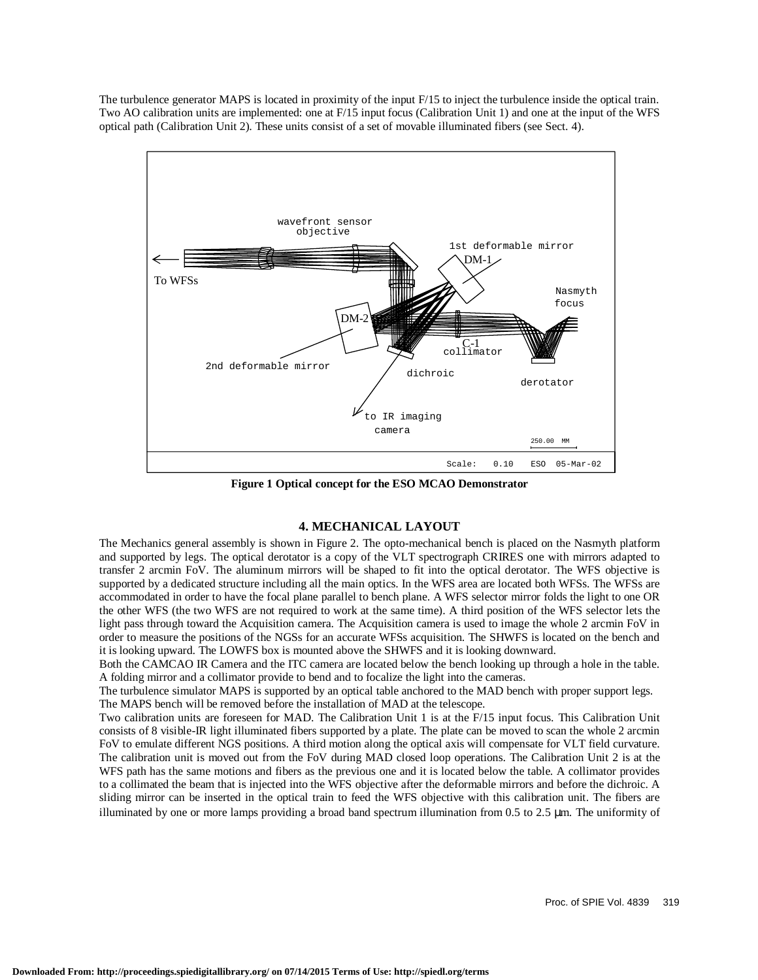The turbulence generator MAPS is located in proximity of the input F/15 to inject the turbulence inside the optical train. Two AO calibration units are implemented: one at F/15 input focus (Calibration Unit 1) and one at the input of the WFS optical path (Calibration Unit 2). These units consist of a set of movable illuminated fibers (see Sect. 4).



**Figure 1 Optical concept for the ESO MCAO Demonstrator** 

# **4. MECHANICAL LAYOUT**

The Mechanics general assembly is shown in Figure 2. The opto-mechanical bench is placed on the Nasmyth platform and supported by legs. The optical derotator is a copy of the VLT spectrograph CRIRES one with mirrors adapted to transfer 2 arcmin FoV. The aluminum mirrors will be shaped to fit into the optical derotator. The WFS objective is supported by a dedicated structure including all the main optics. In the WFS area are located both WFSs. The WFSs are accommodated in order to have the focal plane parallel to bench plane. A WFS selector mirror folds the light to one OR the other WFS (the two WFS are not required to work at the same time). A third position of the WFS selector lets the light pass through toward the Acquisition camera. The Acquisition camera is used to image the whole 2 arcmin FoV in order to measure the positions of the NGSs for an accurate WFSs acquisition. The SHWFS is located on the bench and it is looking upward. The LOWFS box is mounted above the SHWFS and it is looking downward.

Both the CAMCAO IR Camera and the ITC camera are located below the bench looking up through a hole in the table. A folding mirror and a collimator provide to bend and to focalize the light into the cameras.

The turbulence simulator MAPS is supported by an optical table anchored to the MAD bench with proper support legs. The MAPS bench will be removed before the installation of MAD at the telescope.

Two calibration units are foreseen for MAD. The Calibration Unit 1 is at the F/15 input focus. This Calibration Unit consists of 8 visible-IR light illuminated fibers supported by a plate. The plate can be moved to scan the whole 2 arcmin FoV to emulate different NGS positions. A third motion along the optical axis will compensate for VLT field curvature. The calibration unit is moved out from the FoV during MAD closed loop operations. The Calibration Unit 2 is at the WFS path has the same motions and fibers as the previous one and it is located below the table. A collimator provides to a collimated the beam that is injected into the WFS objective after the deformable mirrors and before the dichroic. A sliding mirror can be inserted in the optical train to feed the WFS objective with this calibration unit. The fibers are illuminated by one or more lamps providing a broad band spectrum illumination from 0.5 to 2.5 µm. The uniformity of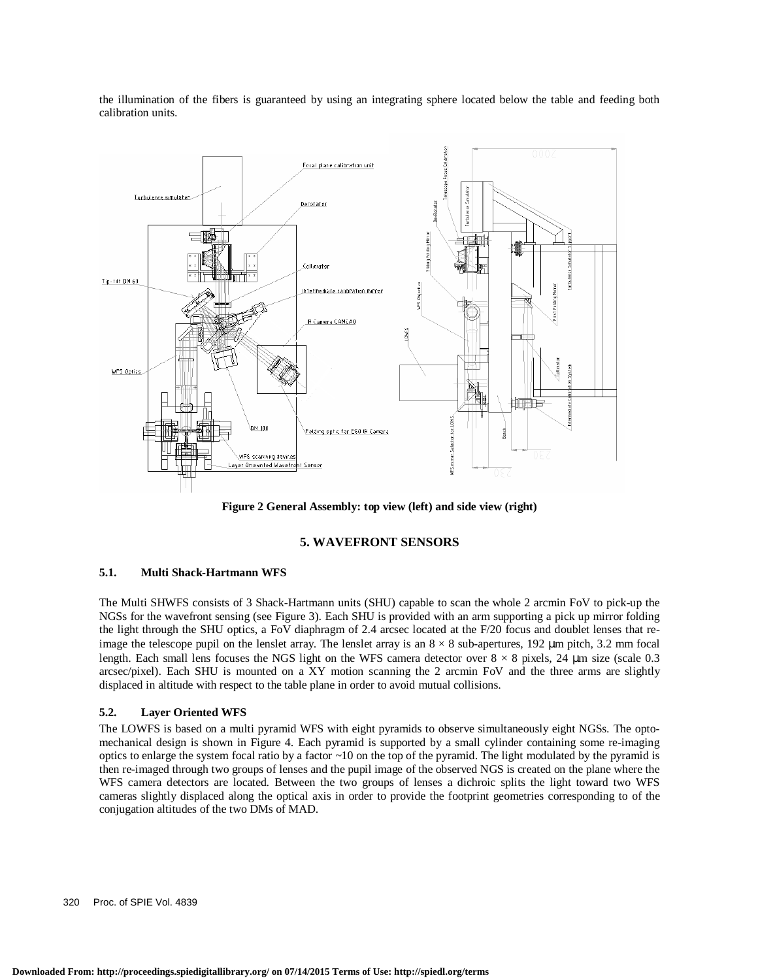the illumination of the fibers is guaranteed by using an integrating sphere located below the table and feeding both calibration units.



**Figure 2 General Assembly: top view (left) and side view (right)** 

#### **5. WAVEFRONT SENSORS**

#### **5.1. Multi Shack-Hartmann WFS**

The Multi SHWFS consists of 3 Shack-Hartmann units (SHU) capable to scan the whole 2 arcmin FoV to pick-up the NGSs for the wavefront sensing (see Figure 3). Each SHU is provided with an arm supporting a pick up mirror folding the light through the SHU optics, a FoV diaphragm of 2.4 arcsec located at the F/20 focus and doublet lenses that reimage the telescope pupil on the lenslet array. The lenslet array is an  $8 \times 8$  sub-apertures, 192  $\mu$ m pitch, 3.2 mm focal length. Each small lens focuses the NGS light on the WFS camera detector over  $8 \times 8$  pixels, 24  $\mu$ m size (scale 0.3 arcsec/pixel). Each SHU is mounted on a XY motion scanning the 2 arcmin FoV and the three arms are slightly displaced in altitude with respect to the table plane in order to avoid mutual collisions.

#### **5.2. Layer Oriented WFS**

The LOWFS is based on a multi pyramid WFS with eight pyramids to observe simultaneously eight NGSs. The optomechanical design is shown in Figure 4. Each pyramid is supported by a small cylinder containing some re-imaging optics to enlarge the system focal ratio by a factor ~10 on the top of the pyramid. The light modulated by the pyramid is then re-imaged through two groups of lenses and the pupil image of the observed NGS is created on the plane where the WFS camera detectors are located. Between the two groups of lenses a dichroic splits the light toward two WFS cameras slightly displaced along the optical axis in order to provide the footprint geometries corresponding to of the conjugation altitudes of the two DMs of MAD.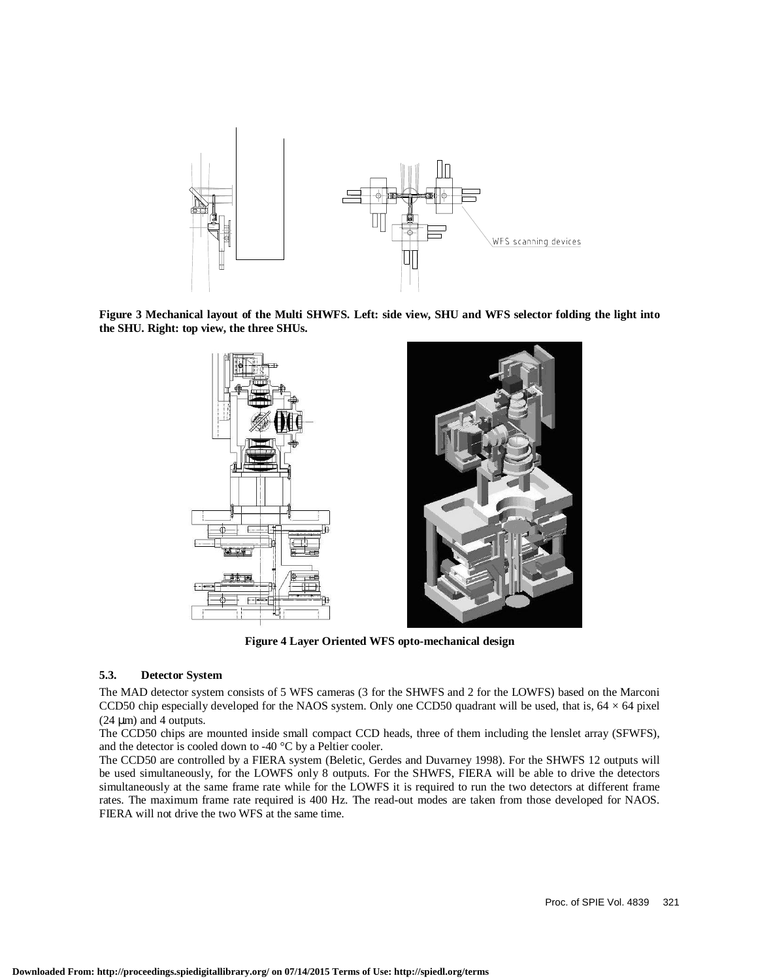

**Figure 3 Mechanical layout of the Multi SHWFS. Left: side view, SHU and WFS selector folding the light into the SHU. Right: top view, the three SHUs.** 



**Figure 4 Layer Oriented WFS opto-mechanical design** 

#### **5.3. Detector System**

The MAD detector system consists of 5 WFS cameras (3 for the SHWFS and 2 for the LOWFS) based on the Marconi CCD50 chip especially developed for the NAOS system. Only one CCD50 quadrant will be used, that is,  $64 \times 64$  pixel  $(24 \mu m)$  and 4 outputs.

The CCD50 chips are mounted inside small compact CCD heads, three of them including the lenslet array (SFWFS), and the detector is cooled down to -40 °C by a Peltier cooler.

The CCD50 are controlled by a FIERA system (Beletic, Gerdes and Duvarney 1998). For the SHWFS 12 outputs will be used simultaneously, for the LOWFS only 8 outputs. For the SHWFS, FIERA will be able to drive the detectors simultaneously at the same frame rate while for the LOWFS it is required to run the two detectors at different frame rates. The maximum frame rate required is 400 Hz. The read-out modes are taken from those developed for NAOS. FIERA will not drive the two WFS at the same time.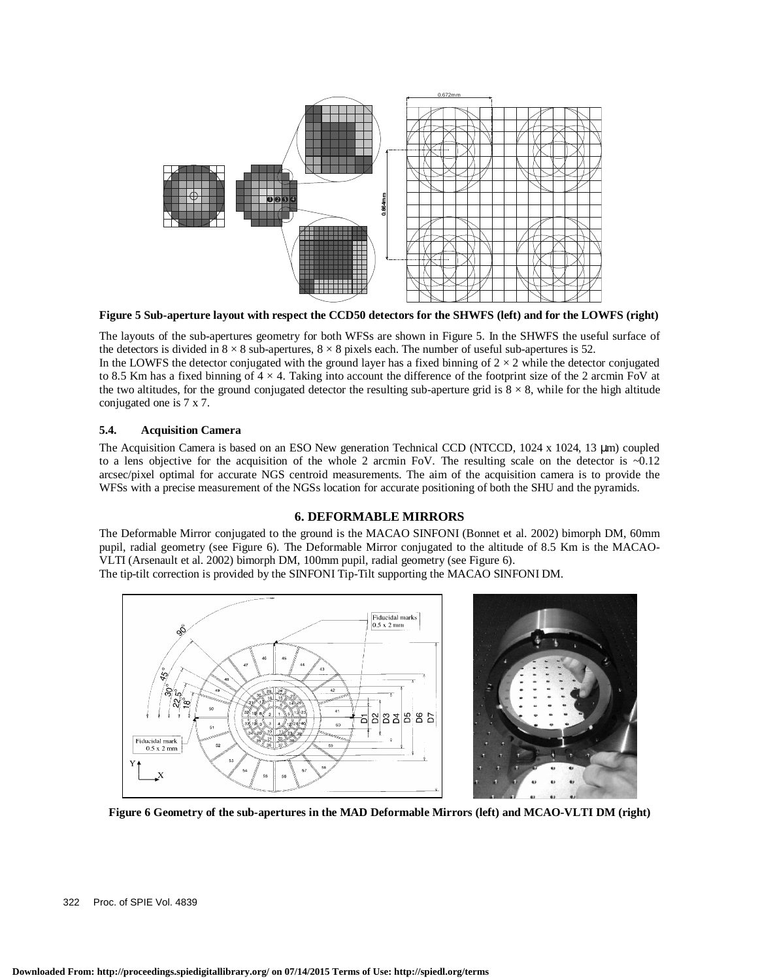

**Figure 5 Sub-aperture layout with respect the CCD50 detectors for the SHWFS (left) and for the LOWFS (right)** 

The layouts of the sub-apertures geometry for both WFSs are shown in Figure 5. In the SHWFS the useful surface of the detectors is divided in  $8 \times 8$  sub-apertures,  $8 \times 8$  pixels each. The number of useful sub-apertures is 52. In the LOWFS the detector conjugated with the ground layer has a fixed binning of  $2 \times 2$  while the detector conjugated to 8.5 Km has a fixed binning of  $4 \times 4$ . Taking into account the difference of the footprint size of the 2 arcmin FoV at the two altitudes, for the ground conjugated detector the resulting sub-aperture grid is  $8 \times 8$ , while for the high altitude conjugated one is 7 x 7.

## **5.4. Acquisition Camera**

The Acquisition Camera is based on an ESO New generation Technical CCD (NTCCD, 1024 x 1024, 13 µm) coupled to a lens objective for the acquisition of the whole 2 arcmin FoV. The resulting scale on the detector is ~0.12 arcsec/pixel optimal for accurate NGS centroid measurements. The aim of the acquisition camera is to provide the WFSs with a precise measurement of the NGSs location for accurate positioning of both the SHU and the pyramids.

#### **6. DEFORMABLE MIRRORS**

The Deformable Mirror conjugated to the ground is the MACAO SINFONI (Bonnet et al. 2002) bimorph DM, 60mm pupil, radial geometry (see Figure 6). The Deformable Mirror conjugated to the altitude of 8.5 Km is the MACAO-VLTI (Arsenault et al. 2002) bimorph DM, 100mm pupil, radial geometry (see Figure 6).

The tip-tilt correction is provided by the SINFONI Tip-Tilt supporting the MACAO SINFONI DM.



**Figure 6 Geometry of the sub-apertures in the MAD Deformable Mirrors (left) and MCAO-VLTI DM (right)**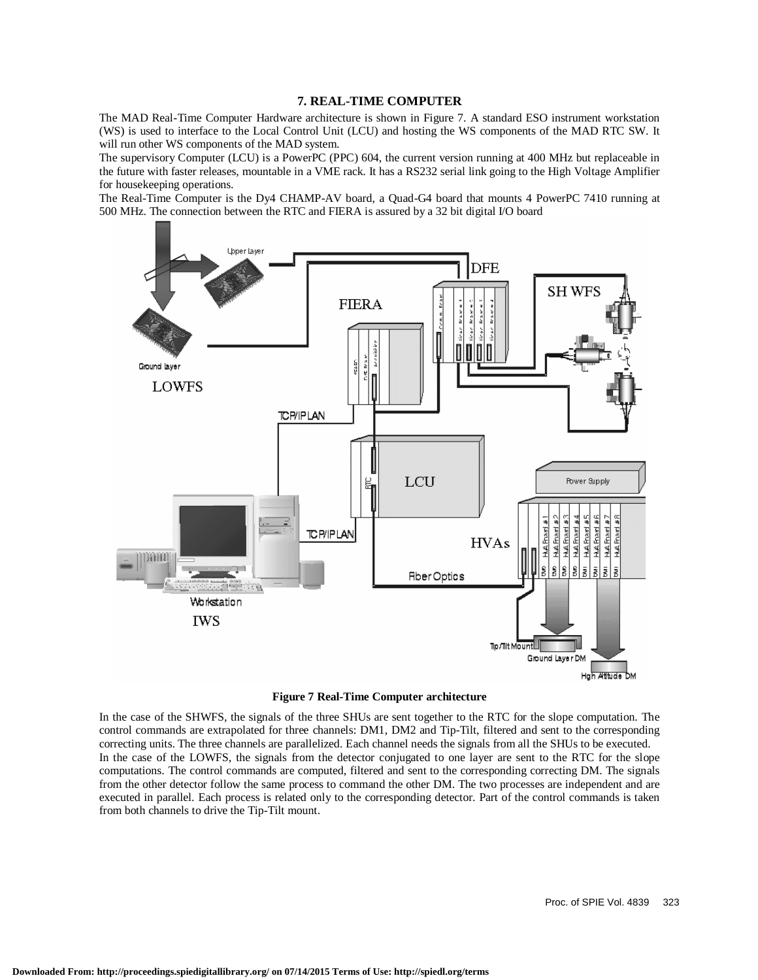#### **7. REAL-TIME COMPUTER**

The MAD Real-Time Computer Hardware architecture is shown in Figure 7. A standard ESO instrument workstation (WS) is used to interface to the Local Control Unit (LCU) and hosting the WS components of the MAD RTC SW. It will run other WS components of the MAD system.

The supervisory Computer (LCU) is a PowerPC (PPC) 604, the current version running at 400 MHz but replaceable in the future with faster releases, mountable in a VME rack. It has a RS232 serial link going to the High Voltage Amplifier for housekeeping operations.

The Real-Time Computer is the Dy4 CHAMP-AV board, a Quad-G4 board that mounts 4 PowerPC 7410 running at 500 MHz. The connection between the RTC and FIERA is assured by a 32 bit digital I/O board



**Figure 7 Real-Time Computer architecture** 

In the case of the SHWFS, the signals of the three SHUs are sent together to the RTC for the slope computation. The control commands are extrapolated for three channels: DM1, DM2 and Tip-Tilt, filtered and sent to the corresponding correcting units. The three channels are parallelized. Each channel needs the signals from all the SHUs to be executed. In the case of the LOWFS, the signals from the detector conjugated to one layer are sent to the RTC for the slope computations. The control commands are computed, filtered and sent to the corresponding correcting DM. The signals from the other detector follow the same process to command the other DM. The two processes are independent and are executed in parallel. Each process is related only to the corresponding detector. Part of the control commands is taken from both channels to drive the Tip-Tilt mount.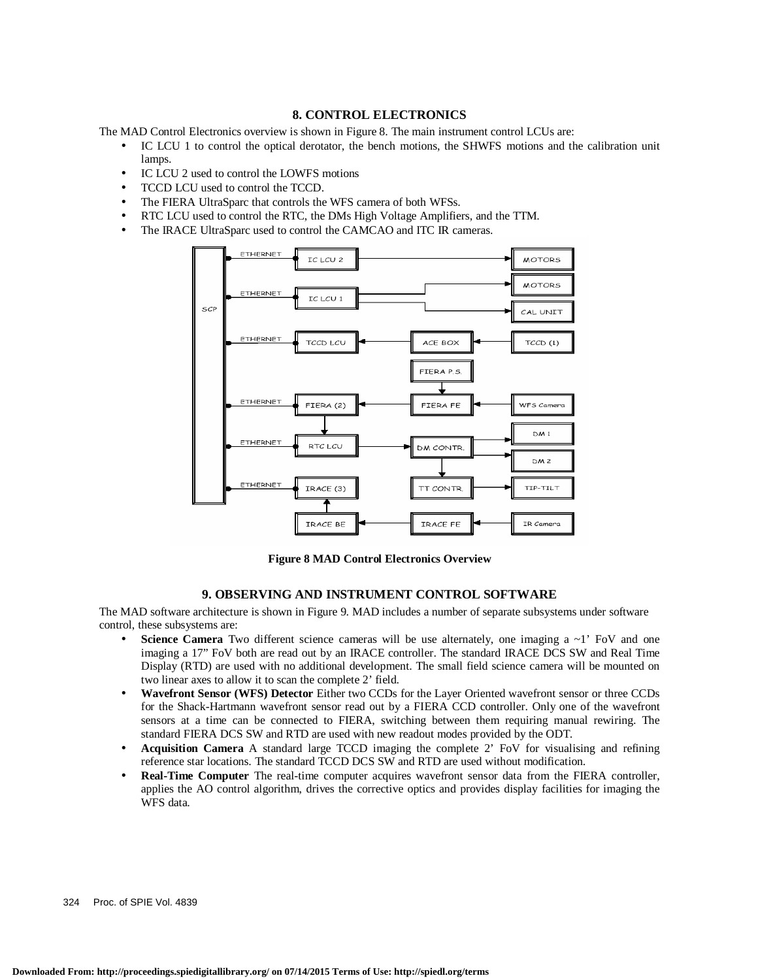## **8. CONTROL ELECTRONICS**

The MAD Control Electronics overview is shown in Figure 8. The main instrument control LCUs are:

- IC LCU 1 to control the optical derotator, the bench motions, the SHWFS motions and the calibration unit lamps.
- IC LCU 2 used to control the LOWFS motions
- TCCD LCU used to control the TCCD.
- The FIERA UltraSparc that controls the WFS camera of both WFSs.
- RTC LCU used to control the RTC, the DMs High Voltage Amplifiers, and the TTM.
- The IRACE UltraSparc used to control the CAMCAO and ITC IR cameras.



**Figure 8 MAD Control Electronics Overview** 

## **9. OBSERVING AND INSTRUMENT CONTROL SOFTWARE**

The MAD software architecture is shown in Figure 9. MAD includes a number of separate subsystems under software control, these subsystems are:

- **Science Camera** Two different science cameras will be use alternately, one imaging a  $\sim$ 1' FoV and one imaging a 17" FoV both are read out by an IRACE controller. The standard IRACE DCS SW and Real Time Display (RTD) are used with no additional development. The small field science camera will be mounted on two linear axes to allow it to scan the complete 2' field.
- **Wavefront Sensor (WFS) Detector** Either two CCDs for the Layer Oriented wavefront sensor or three CCDs for the Shack-Hartmann wavefront sensor read out by a FIERA CCD controller. Only one of the wavefront sensors at a time can be connected to FIERA, switching between them requiring manual rewiring. The standard FIERA DCS SW and RTD are used with new readout modes provided by the ODT.
- **Acquisition Camera** A standard large TCCD imaging the complete 2' FoV for visualising and refining reference star locations. The standard TCCD DCS SW and RTD are used without modification.
- **Real-Time Computer** The real-time computer acquires wavefront sensor data from the FIERA controller, applies the AO control algorithm, drives the corrective optics and provides display facilities for imaging the WFS data.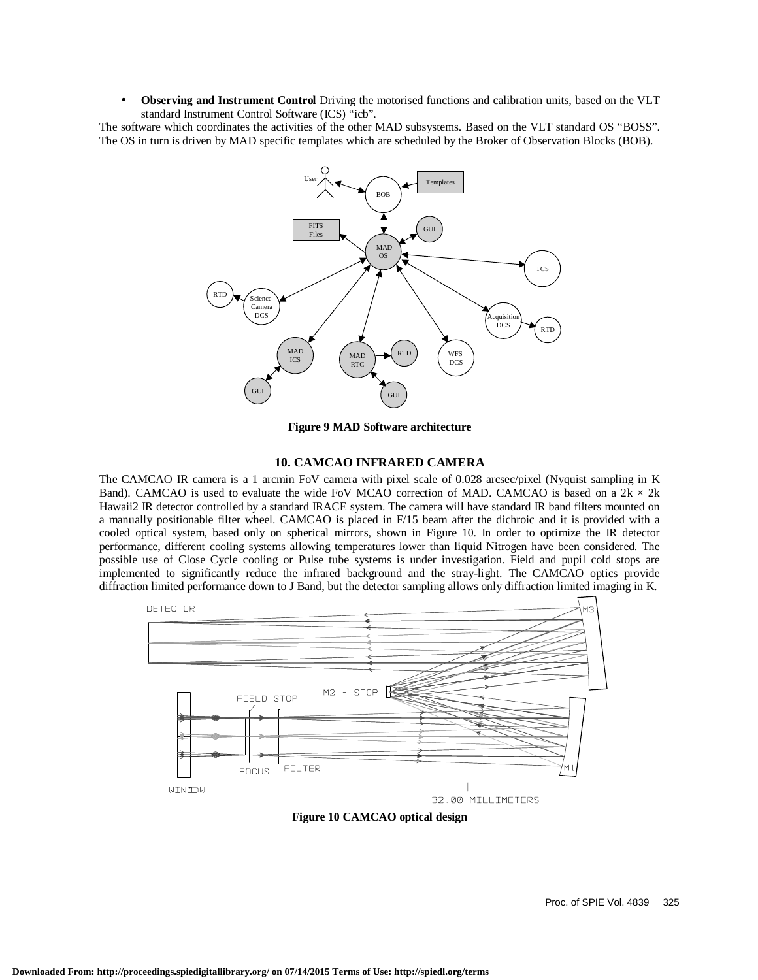• **Observing and Instrument Control** Driving the motorised functions and calibration units, based on the VLT standard Instrument Control Software (ICS) "icb".

The software which coordinates the activities of the other MAD subsystems. Based on the VLT standard OS "BOSS". The OS in turn is driven by MAD specific templates which are scheduled by the Broker of Observation Blocks (BOB).



**Figure 9 MAD Software architecture** 

## **10. CAMCAO INFRARED CAMERA**

The CAMCAO IR camera is a 1 arcmin FoV camera with pixel scale of 0.028 arcsec/pixel (Nyquist sampling in K Band). CAMCAO is used to evaluate the wide FoV MCAO correction of MAD. CAMCAO is based on a  $2k \times 2k$ Hawaii2 IR detector controlled by a standard IRACE system. The camera will have standard IR band filters mounted on a manually positionable filter wheel. CAMCAO is placed in F/15 beam after the dichroic and it is provided with a cooled optical system, based only on spherical mirrors, shown in Figure 10. In order to optimize the IR detector performance, different cooling systems allowing temperatures lower than liquid Nitrogen have been considered. The possible use of Close Cycle cooling or Pulse tube systems is under investigation. Field and pupil cold stops are implemented to significantly reduce the infrared background and the stray-light. The CAMCAO optics provide diffraction limited performance down to J Band, but the detector sampling allows only diffraction limited imaging in K.



**Figure 10 CAMCAO optical design**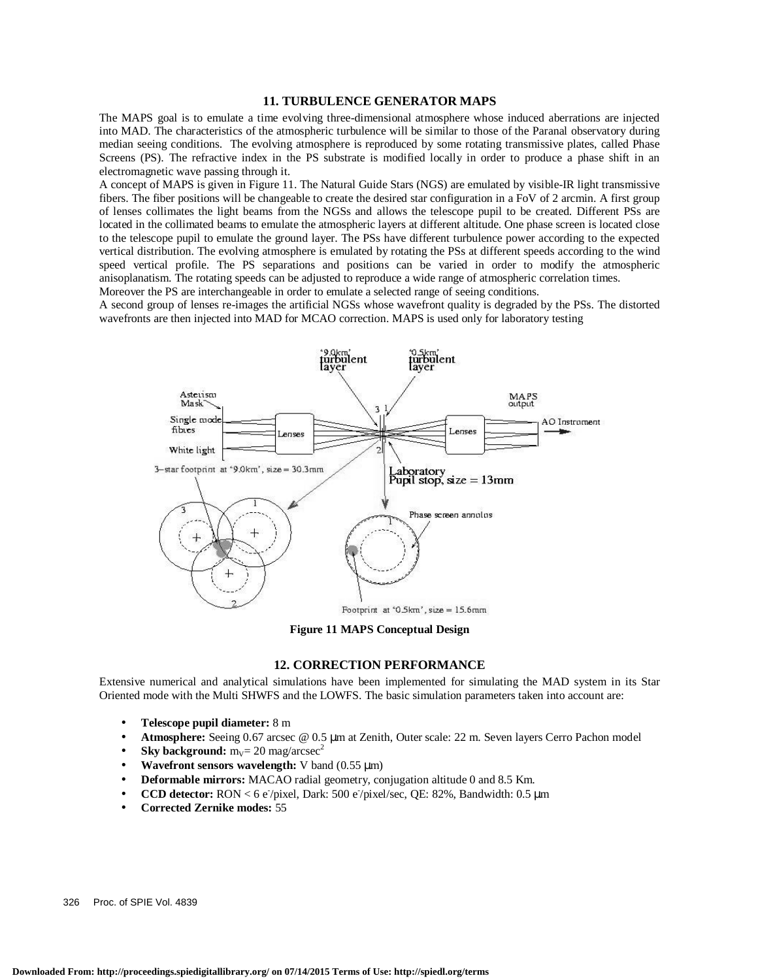#### **11. TURBULENCE GENERATOR MAPS**

The MAPS goal is to emulate a time evolving three-dimensional atmosphere whose induced aberrations are injected into MAD. The characteristics of the atmospheric turbulence will be similar to those of the Paranal observatory during median seeing conditions. The evolving atmosphere is reproduced by some rotating transmissive plates, called Phase Screens (PS). The refractive index in the PS substrate is modified locally in order to produce a phase shift in an electromagnetic wave passing through it.

A concept of MAPS is given in Figure 11. The Natural Guide Stars (NGS) are emulated by visible-IR light transmissive fibers. The fiber positions will be changeable to create the desired star configuration in a FoV of 2 arcmin. A first group of lenses collimates the light beams from the NGSs and allows the telescope pupil to be created. Different PSs are located in the collimated beams to emulate the atmospheric layers at different altitude. One phase screen is located close to the telescope pupil to emulate the ground layer. The PSs have different turbulence power according to the expected vertical distribution. The evolving atmosphere is emulated by rotating the PSs at different speeds according to the wind speed vertical profile. The PS separations and positions can be varied in order to modify the atmospheric anisoplanatism. The rotating speeds can be adjusted to reproduce a wide range of atmospheric correlation times.

Moreover the PS are interchangeable in order to emulate a selected range of seeing conditions.

A second group of lenses re-images the artificial NGSs whose wavefront quality is degraded by the PSs. The distorted wavefronts are then injected into MAD for MCAO correction. MAPS is used only for laboratory testing



**Figure 11 MAPS Conceptual Design** 

#### **12. CORRECTION PERFORMANCE**

Extensive numerical and analytical simulations have been implemented for simulating the MAD system in its Star Oriented mode with the Multi SHWFS and the LOWFS. The basic simulation parameters taken into account are:

- **Telescope pupil diameter:** 8 m
- **Atmosphere:** Seeing 0.67 arcsec @ 0.5 µm at Zenith, Outer scale: 22 m. Seven layers Cerro Pachon model
- **Sky background:**  $m_V = 20$  mag/arcsec<sup>2</sup>
- **Wavefront sensors wavelength:** V band  $(0.55 \mu m)$
- **Deformable mirrors:** MACAO radial geometry, conjugation altitude 0 and 8.5 Km.
- **CCD detector:** RON < 6 e<sup>-</sup>/pixel, Dark: 500 e<sup>-</sup>/pixel/sec, QE: 82%, Bandwidth: 0.5 µm
- **Corrected Zernike modes:** 55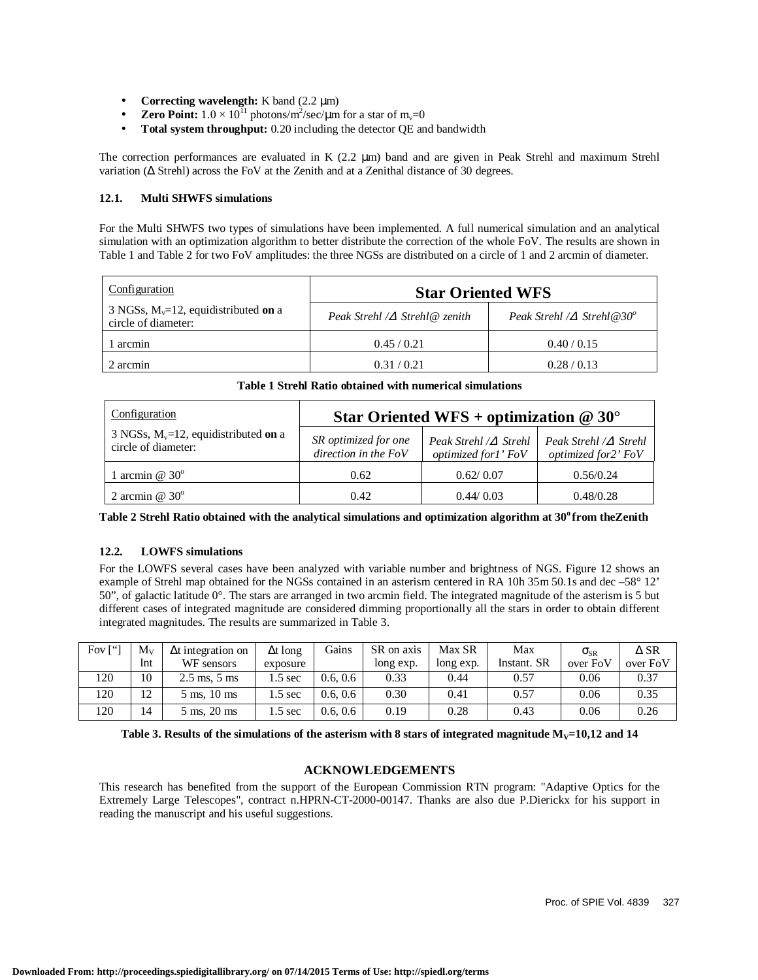- **Correcting wavelength:** K band (2.2 µm)
- **Zero Point:**  $1.0 \times 10^{11}$  photons/m<sup>2</sup>/sec/ $\mu$ m for a star of m<sub>v</sub>=0
- **Total system throughput:** 0.20 including the detector QE and bandwidth

The correction performances are evaluated in K (2.2 µm) band and are given in Peak Strehl and maximum Strehl variation (∆ Strehl) across the FoV at the Zenith and at a Zenithal distance of 30 degrees.

## **12.1. Multi SHWFS simulations**

For the Multi SHWFS two types of simulations have been implemented. A full numerical simulation and an analytical simulation with an optimization algorithm to better distribute the correction of the whole FoV. The results are shown in Table 1 and Table 2 for two FoV amplitudes: the three NGSs are distributed on a circle of 1 and 2 arcmin of diameter.

| Configuration                                                  | <b>Star Oriented WFS</b>            |                                               |  |  |  |
|----------------------------------------------------------------|-------------------------------------|-----------------------------------------------|--|--|--|
| 3 NGSs, $M_v=12$ , equidistributed on a<br>circle of diameter: | Peak Strehl $\Delta$ Strehl@ zenith | Peak Strehl / $\Delta$ Strehl@30 <sup>o</sup> |  |  |  |
| 1 arcmin                                                       | 0.45/0.21                           | 0.40/0.15                                     |  |  |  |
| 2 arcmin                                                       | 0.31/0.21                           | 0.28/0.13                                     |  |  |  |

**Table 1 Strehl Ratio obtained with numerical simulations** 

| Configuration                                                  | Star Oriented WFS + optimization $@30°$          |                                               |                                                    |  |
|----------------------------------------------------------------|--------------------------------------------------|-----------------------------------------------|----------------------------------------------------|--|
| 3 NGSs, $M_v=12$ , equidistributed on a<br>circle of diameter: | SR optimized for one<br>$direction$ in the $FoV$ | Peak Strehl / A Strehl<br>optimized for l'FoV | Peak Strehl $\Delta$ Strehl<br>optimized for2' FoV |  |
| arcmin @ $30^{\circ}$                                          | 0.62                                             | 0.62/0.07                                     | 0.56/0.24                                          |  |
| 2 arcmin $\omega$ 30 $^{\circ}$                                | 0.42                                             | 0.44/0.03                                     | 0.48/0.28                                          |  |

Table 2 Strehl Ratio obtained with the analytical simulations and optimization algorithm at 30<sup>°</sup> from theZenith

# **12.2. LOWFS simulations**

For the LOWFS several cases have been analyzed with variable number and brightness of NGS. Figure 12 shows an example of Strehl map obtained for the NGSs contained in an asterism centered in RA 10h 35m 50.1s and dec –58° 12' 50", of galactic latitude  $0^\circ$ . The stars are arranged in two arcmin field. The integrated magnitude of the asterism is 5 but different cases of integrated magnitude are considered dimming proportionally all the stars in order to obtain different integrated magnitudes. The results are summarized in Table 3.

| Fov $\lceil$ " | $M_{V}$ | $\Delta t$ integration on        | $\Delta t$ long  | <b>Gains</b> | SR on axis | Max SR    | Max         | $\sigma_{\rm SR}$    | $\Delta$ SR |
|----------------|---------|----------------------------------|------------------|--------------|------------|-----------|-------------|----------------------|-------------|
|                | Int     | WF sensors                       | exposure         |              | long exp.  | long exp. | Instant. SR | over Fo <sub>V</sub> | over FoV    |
| 120            | 10      | $2.5 \text{ ms}, 5 \text{ ms}$   | $.5 \text{ sec}$ | 0.6, 0.6     | 0.33       | 0.44      | 0.57        | 0.06                 | 0.37        |
| 120            | 12<br>∸ | $5 \text{ ms}$ , $10 \text{ ms}$ | $.5 \text{ sec}$ | 0.6, 0.6     | 0.30       | 0.41      | 0.57        | 0.06                 | 0.35        |
| 120            | 14      | 5 ms, 20 ms                      | $.5 \text{ sec}$ | 0.6, 0.6     | 0.19       | 0.28      | 0.43        | 0.06                 | 0.26        |

Table 3. Results of the simulations of the asterism with 8 stars of integrated magnitude  $M_V=10,12$  and 14

# **ACKNOWLEDGEMENTS**

This research has benefited from the support of the European Commission RTN program: "Adaptive Optics for the Extremely Large Telescopes", contract n.HPRN-CT-2000-00147. Thanks are also due P.Dierickx for his support in reading the manuscript and his useful suggestions.